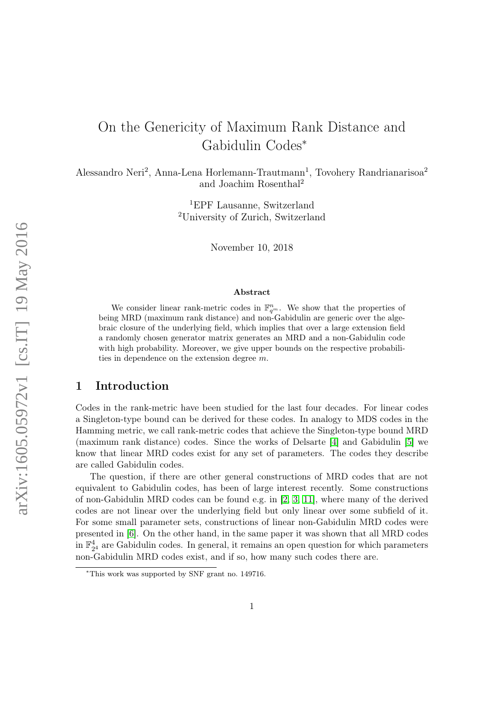# <span id="page-0-0"></span>On the Genericity of Maximum Rank Distance and Gabidulin Codes<sup>∗</sup>

Alessandro Neri<sup>2</sup>, Anna-Lena Horlemann-Trautmann<sup>1</sup>, Tovohery Randrianarisoa<sup>2</sup> and Joachim Rosenthal<sup>2</sup>

> <sup>1</sup>EPF Lausanne, Switzerland <sup>2</sup>University of Zurich, Switzerland

> > November 10, 2018

#### Abstract

We consider linear rank-metric codes in  $\mathbb{F}_{q^m}^n$ . We show that the properties of being MRD (maximum rank distance) and non-Gabidulin are generic over the algebraic closure of the underlying field, which implies that over a large extension field a randomly chosen generator matrix generates an MRD and a non-Gabidulin code with high probability. Moreover, we give upper bounds on the respective probabilities in dependence on the extension degree m.

## 1 Introduction

Codes in the rank-metric have been studied for the last four decades. For linear codes a Singleton-type bound can be derived for these codes. In analogy to MDS codes in the Hamming metric, we call rank-metric codes that achieve the Singleton-type bound MRD (maximum rank distance) codes. Since the works of Delsarte [\[4\]](#page-20-0) and Gabidulin [\[5\]](#page-20-1) we know that linear MRD codes exist for any set of parameters. The codes they describe are called Gabidulin codes.

The question, if there are other general constructions of MRD codes that are not equivalent to Gabidulin codes, has been of large interest recently. Some constructions of non-Gabidulin MRD codes can be found e.g. in [\[2,](#page-20-2) [3,](#page-20-3) [11\]](#page-21-0), where many of the derived codes are not linear over the underlying field but only linear over some subfield of it. For some small parameter sets, constructions of linear non-Gabidulin MRD codes were presented in [\[6\]](#page-20-4). On the other hand, in the same paper it was shown that all MRD codes in  $\mathbb{F}_{2^4}^4$  are Gabidulin codes. In general, it remains an open question for which parameters non-Gabidulin MRD codes exist, and if so, how many such codes there are.

<sup>∗</sup>This work was supported by SNF grant no. 149716.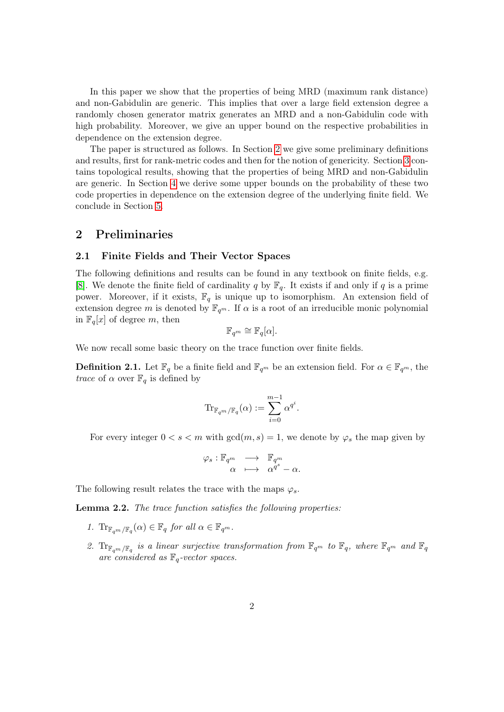In this paper we show that the properties of being MRD (maximum rank distance) and non-Gabidulin are generic. This implies that over a large field extension degree a randomly chosen generator matrix generates an MRD and a non-Gabidulin code with high probability. Moreover, we give an upper bound on the respective probabilities in dependence on the extension degree.

The paper is structured as follows. In Section [2](#page-1-0) we give some preliminary definitions and results, first for rank-metric codes and then for the notion of genericity. Section [3](#page-7-0) contains topological results, showing that the properties of being MRD and non-Gabidulin are generic. In Section [4](#page-9-0) we derive some upper bounds on the probability of these two code properties in dependence on the extension degree of the underlying finite field. We conclude in Section [5.](#page-19-0)

## <span id="page-1-0"></span>2 Preliminaries

#### 2.1 Finite Fields and Their Vector Spaces

The following definitions and results can be found in any textbook on finite fields, e.g. [\[8\]](#page-21-1). We denote the finite field of cardinality q by  $\mathbb{F}_q$ . It exists if and only if q is a prime power. Moreover, if it exists,  $\mathbb{F}_q$  is unique up to isomorphism. An extension field of extension degree m is denoted by  $\mathbb{F}_{q^m}$ . If  $\alpha$  is a root of an irreducible monic polynomial in  $\mathbb{F}_q[x]$  of degree m, then

$$
\mathbb{F}_{q^m} \cong \mathbb{F}_q[\alpha].
$$

We now recall some basic theory on the trace function over finite fields.

**Definition 2.1.** Let  $\mathbb{F}_q$  be a finite field and  $\mathbb{F}_{q^m}$  be an extension field. For  $\alpha \in \mathbb{F}_{q^m}$ , the  $trace$  of  $\alpha$  over  $\mathbb{F}_q$  is defined by

$$
\mathrm{Tr}_{\mathbb{F}_{q^m}/\mathbb{F}_q}(\alpha):=\sum_{i=0}^{m-1}\alpha^{q^i}.
$$

For every integer  $0 < s < m$  with  $gcd(m, s) = 1$ , we denote by  $\varphi_s$  the map given by

$$
\varphi_s : \mathbb{F}_{q^m} \longrightarrow \mathbb{F}_{q^m} \n\alpha \longmapsto \alpha^{q^s} - \alpha.
$$

The following result relates the trace with the maps  $\varphi_s$ .

<span id="page-1-1"></span>Lemma 2.2. The trace function satisfies the following properties:

- 1.  $\text{Tr}_{\mathbb{F}_{q^m}/\mathbb{F}_q}(\alpha) \in \mathbb{F}_q$  for all  $\alpha \in \mathbb{F}_{q^m}$ .
- 2.  $\text{Tr}_{\mathbb{F}_{q^m}/\mathbb{F}_q}$  is a linear surjective transformation from  $\mathbb{F}_{q^m}$  to  $\mathbb{F}_q$ , where  $\mathbb{F}_{q^m}$  and  $\mathbb{F}_q$ are considered as  $\mathbb{F}_q$ -vector spaces.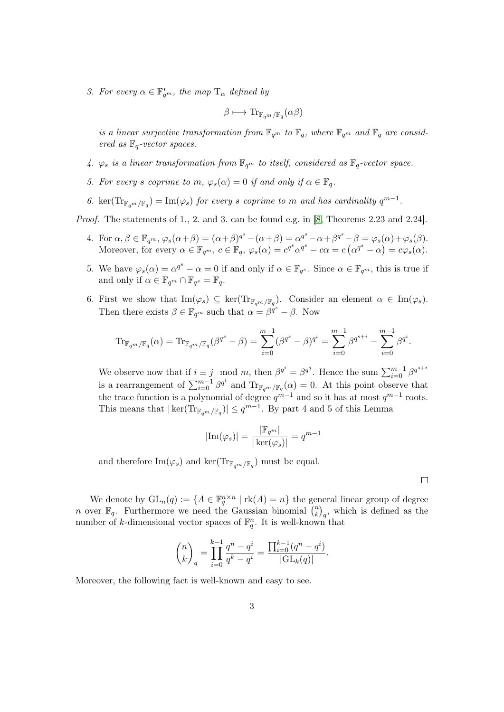3. For every  $\alpha \in \mathbb{F}_{q^m}^*$ , the map  $T_{\alpha}$  defined by

$$
\beta \longmapsto \mathrm{Tr}_{\mathbb{F}_{q^m}/\mathbb{F}_q}(\alpha \beta)
$$

is a linear surjective transformation from  $\mathbb{F}_{q^m}$  to  $\mathbb{F}_q$ , where  $\mathbb{F}_{q^m}$  and  $\mathbb{F}_q$  are considered as  $\mathbb{F}_q$ -vector spaces.

- 4.  $\varphi_s$  is a linear transformation from  $\mathbb{F}_{q^m}$  to itself, considered as  $\mathbb{F}_q$ -vector space.
- 5. For every s coprime to m,  $\varphi_s(\alpha) = 0$  if and only if  $\alpha \in \mathbb{F}_q$ .
- 6. ker $(\text{Tr}_{\mathbb{F}_{q^m}/\mathbb{F}_q}) = \text{Im}(\varphi_s)$  for every s coprime to m and has cardinality  $q^{m-1}$ .

Proof. The statements of 1., 2. and 3. can be found e.g. in [\[8,](#page-21-1) Theorems 2.23 and 2.24].

- 4. For  $\alpha, \beta \in \mathbb{F}_{q^m}, \varphi_s(\alpha+\beta) = (\alpha+\beta)^{q^s} (\alpha+\beta) = \alpha^{q^s} \alpha + \beta^{q^s} \beta = \varphi_s(\alpha) + \varphi_s(\beta)$ . Moreover, for every  $\alpha \in \mathbb{F}_{q^m}$ ,  $c \in \mathbb{F}_q$ ,  $\varphi_s(\alpha) = c^{q^s} \alpha^{q^s} - c\alpha = c(\alpha^{q^s} - \alpha) = c\varphi_s(\alpha)$ .
- 5. We have  $\varphi_s(\alpha) = \alpha^{q^s} \alpha = 0$  if and only if  $\alpha \in \mathbb{F}_{q^s}$ . Since  $\alpha \in \mathbb{F}_{q^m}$ , this is true if and only if  $\alpha \in \mathbb{F}_{q^m} \cap \mathbb{F}_{q^s} = \mathbb{F}_q$ .
- 6. First we show that  $\text{Im}(\varphi_s) \subseteq \text{ker}(\text{Tr}_{\mathbb{F}_{q^m}/\mathbb{F}_q})$ . Consider an element  $\alpha \in \text{Im}(\varphi_s)$ . Then there exists  $\beta \in \mathbb{F}_{q^m}$  such that  $\alpha = \beta^{q^s} - \beta$ . Now

$$
\mathrm{Tr}_{\mathbb{F}_{q^m}/\mathbb{F}_q}(\alpha) = \mathrm{Tr}_{\mathbb{F}_{q^m}/\mathbb{F}_q}(\beta^{q^s} - \beta) = \sum_{i=0}^{m-1} (\beta^{q^s} - \beta)^{q^i} = \sum_{i=0}^{m-1} \beta^{q^{s+i}} - \sum_{i=0}^{m-1} \beta^{q^i}.
$$

We observe now that if  $i \equiv j \mod m$ , then  $\beta^{q^i} = \beta^{q^j}$ . Hence the sum  $\sum_{i=0}^{m-1} \beta^{q^{s+i}}$ is a rearrangement of  $\sum_{i=0}^{m-1} \beta^{q^i}$  and  $\text{Tr}_{\mathbb{F}_{q^m}/\mathbb{F}_q}(\alpha) = 0$ . At this point observe that the trace function is a polynomial of degree  $q^{m-1}$  and so it has at most  $q^{m-1}$  roots. This means that  $|\ker(\text{Tr}_{\mathbb{F}_{q^m}/\mathbb{F}_q})| \leq q^{m-1}$ . By part 4 and 5 of this Lemma

$$
|\mathrm{Im}(\varphi_s)|=\frac{|\mathbb{F}_{q^m}|}{|\ker(\varphi_s)|}=q^{m-1}
$$

and therefore  $\text{Im}(\varphi_s)$  and  $\text{ker}(\text{Tr}_{\mathbb{F}_{q^m}/\mathbb{F}_q})$  must be equal.

We denote by  $GL_n(q) := \{ A \in \mathbb{F}_q^{n \times n} \mid \text{rk}(A) = n \}$  the general linear group of degree *n* over  $\mathbb{F}_q$ . Furthermore we need the Gaussian binomial  $\binom{n}{k}$  $\binom{n}{k}_q$ , which is defined as the number of k-dimensional vector spaces of  $\mathbb{F}_q^n$ . It is well-known that

$$
\binom{n}{k}_q = \prod_{i=0}^{k-1} \frac{q^n - q^i}{q^k - q^i} = \frac{\prod_{i=0}^{k-1} (q^n - q^i)}{|\mathrm{GL}_k(q)|}.
$$

Moreover, the following fact is well-known and easy to see.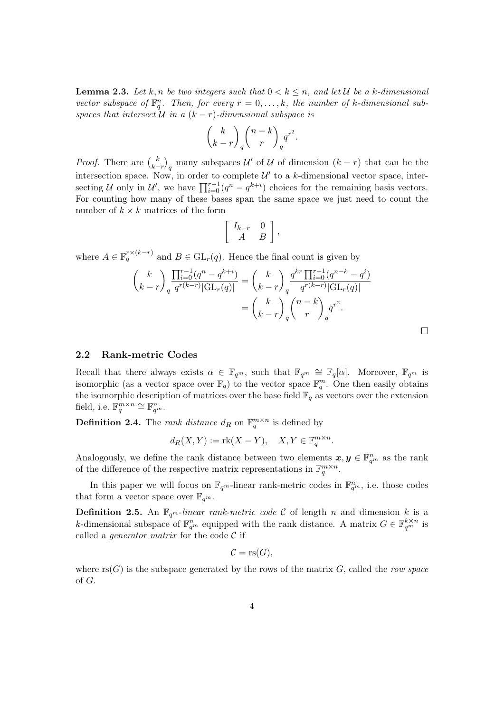<span id="page-3-0"></span>**Lemma 2.3.** Let k, n be two integers such that  $0 < k \le n$ , and let U be a k-dimensional vector subspace of  $\mathbb{F}_q^n$ . Then, for every  $r = 0, \ldots, k$ , the number of k-dimensional subspaces that intersect  $U$  in a  $(k - r)$ -dimensional subspace is

$$
\binom{k}{k-r}_q\binom{n-k}{r}_q q^{r^2}.
$$

*Proof.* There are  $\binom{k}{k}$  $\binom{k}{k-r}_q$  many subspaces  $\mathcal{U}'$  of  $\mathcal{U}$  of dimension  $(k-r)$  that can be the intersection space. Now, in order to complete  $\mathcal{U}'$  to a k-dimensional vector space, intersecting U only in U', we have  $\prod_{i=0}^{r-1} (q^n - q^{k+i})$  choices for the remaining basis vectors. For counting how many of these bases span the same space we just need to count the number of  $k \times k$  matrices of the form

$$
\left[\begin{array}{cc} I_{k-r} & 0 \\ A & B \end{array}\right],
$$

where  $A \in \mathbb{F}_q^{r \times (k-r)}$  and  $B \in GL_r(q)$ . Hence the final count is given by

$$
\binom{k}{k-r} \frac{\prod_{i=0}^{r-1} (q^n - q^{k+i})}{q^{r(k-r)} |\mathrm{GL}_r(q)|} = \binom{k}{k-r} \frac{q^{kr} \prod_{i=0}^{r-1} (q^{n-k} - q^i)}{q^{r(k-r)} |\mathrm{GL}_r(q)|}
$$

$$
= \binom{k}{k-r} \frac{n-k}{q} q^{r^2}.
$$

 $\Box$ 

#### 2.2 Rank-metric Codes

Recall that there always exists  $\alpha \in \mathbb{F}_{q^m}$ , such that  $\mathbb{F}_{q^m} \cong \mathbb{F}_{q}[\alpha]$ . Moreover,  $\mathbb{F}_{q^m}$  is isomorphic (as a vector space over  $\mathbb{F}_q$ ) to the vector space  $\mathbb{F}_q^m$ . One then easily obtains the isomorphic description of matrices over the base field  $\mathbb{F}_q$  as vectors over the extension field, i.e.  $\mathbb{F}_q^{m \times n} \cong \mathbb{F}_{q^m}^n$ .

**Definition 2.4.** The *rank distance*  $d_R$  on  $\mathbb{F}_q^{m \times n}$  is defined by

$$
d_R(X, Y) := \text{rk}(X - Y), \quad X, Y \in \mathbb{F}_q^{m \times n}.
$$

Analogously, we define the rank distance between two elements  $x, y \in \mathbb{F}_{q^m}^n$  as the rank of the difference of the respective matrix representations in  $\mathbb{F}_q^{m \times n}$ .

In this paper we will focus on  $\mathbb{F}_{q^m}$ -linear rank-metric codes in  $\mathbb{F}_{q^m}^n$ , i.e. those codes that form a vector space over  $\mathbb{F}_{q^m}$ .

**Definition 2.5.** An  $\mathbb{F}_{q^m}$ -linear rank-metric code C of length n and dimension k is a k-dimensional subspace of  $\mathbb{F}_{q^m}^n$  equipped with the rank distance. A matrix  $G \in \mathbb{F}_{q^m}^{k \times n}$  is called a *generator matrix* for the code  $\mathcal C$  if

$$
\mathcal{C} = \mathrm{rs}(G),
$$

where  $\text{rs}(G)$  is the subspace generated by the rows of the matrix G, called the row space of G.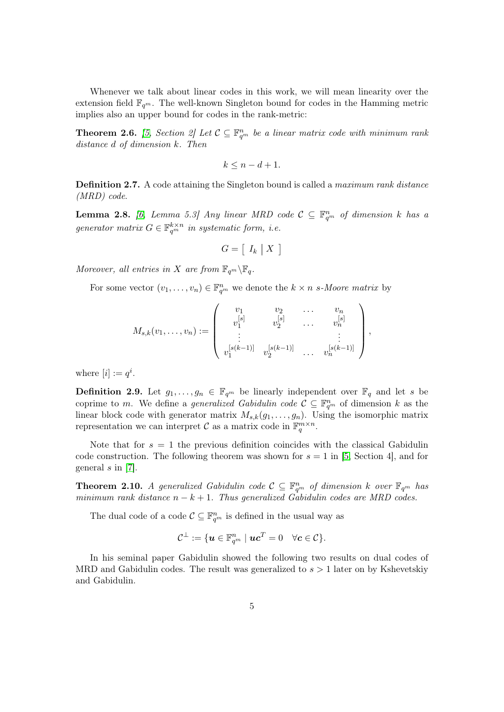Whenever we talk about linear codes in this work, we will mean linearity over the extension field  $\mathbb{F}_{q^m}$ . The well-known Singleton bound for codes in the Hamming metric implies also an upper bound for codes in the rank-metric:

**Theorem 2.6.** [\[5,](#page-20-1) Section 2] Let  $\mathcal{C} \subseteq \mathbb{F}_{q^m}^n$  be a linear matrix code with minimum rank distance d of dimension k. Then

$$
k \le n - d + 1.
$$

**Definition 2.7.** A code attaining the Singleton bound is called a *maximum rank distance* (MRD) code.

<span id="page-4-0"></span>**Lemma 2.8.** [\[6,](#page-20-4) Lemma 5.3] Any linear MRD code  $C \subseteq \mathbb{F}_{q^m}^n$  of dimension k has a generator matrix  $G \in \mathbb{F}_{q^m}^{k \times n}$  in systematic form, i.e.

$$
G = [I_k \mid X]
$$

Moreover, all entries in X are from  $\mathbb{F}_{q^m}\backslash \mathbb{F}_q$ .

For some vector  $(v_1, \ldots, v_n) \in \mathbb{F}_{q^m}^n$  we denote the  $k \times n$  s-Moore matrix by

$$
M_{s,k}(v_1,\ldots,v_n) := \begin{pmatrix} v_1 & v_2 & \ldots & v_n \\ v_1^{[s]} & v_2^{[s]} & \ldots & v_n^{[s]} \\ \vdots & \vdots & \ddots & \vdots \\ v_1^{[s(k-1)]} & v_2^{[s(k-1)]} & \ldots & v_n^{[s(k-1)]} \end{pmatrix},
$$

where  $[i] := q^i$ .

**Definition 2.9.** Let  $g_1, \ldots, g_n \in \mathbb{F}_{q^m}$  be linearly independent over  $\mathbb{F}_q$  and let s be coprime to m. We define a *generalized Gabidulin code*  $\mathcal{C} \subseteq \mathbb{F}_{q^m}^n$  of dimension k as the linear block code with generator matrix  $M_{s,k}(g_1,\ldots,g_n)$ . Using the isomorphic matrix representation we can interpret  $\mathcal C$  as a matrix code in  $\mathbb{F}_q^{m \times n}$ .

Note that for  $s = 1$  the previous definition coincides with the classical Gabidulin code construction. The following theorem was shown for  $s = 1$  in [\[5,](#page-20-1) Section 4], and for general  $s$  in [\[7\]](#page-21-2).

**Theorem 2.10.** A generalized Gabidulin code  $\mathcal{C} \subseteq \mathbb{F}_{q^m}^n$  of dimension k over  $\mathbb{F}_{q^m}$  has minimum rank distance  $n - k + 1$ . Thus generalized Gabidulin codes are MRD codes.

The dual code of a code  $\mathcal{C} \subseteq \mathbb{F}_{q^m}^n$  is defined in the usual way as

$$
\mathcal{C}^\perp:=\{\bm{u}\in \mathbb{F}_{q^m}^n\mid \bm{u}\bm{c}^T=0\quad\forall \bm{c}\in\mathcal{C}\}.
$$

In his seminal paper Gabidulin showed the following two results on dual codes of MRD and Gabidulin codes. The result was generalized to  $s > 1$  later on by Kshevetskiy and Gabidulin.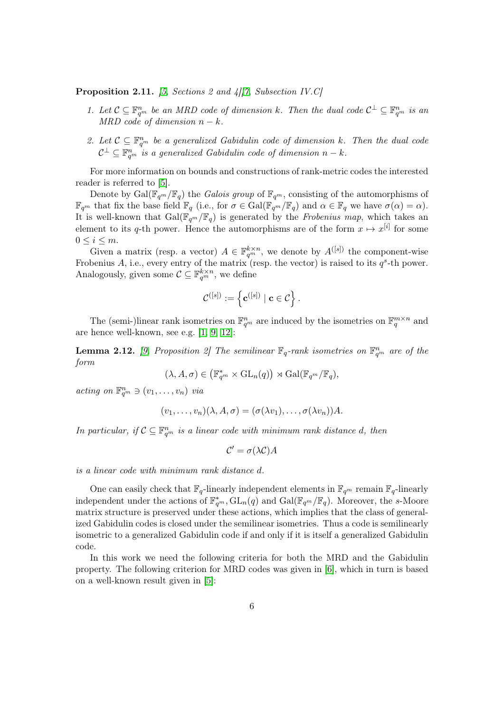Proposition 2.11. [\[5,](#page-20-1) Sections 2 and 4][\[7,](#page-21-2) Subsection IV.C]

- 1. Let  $\mathcal{C} \subseteq \mathbb{F}_{q^m}^n$  be an MRD code of dimension k. Then the dual code  $\mathcal{C}^{\perp} \subseteq \mathbb{F}_{q^m}^n$  is an MRD code of dimension  $n - k$
- 2. Let  $C \subseteq \mathbb{F}_{q^m}^n$  be a generalized Gabidulin code of dimension k. Then the dual code  $C^{\perp} \subseteq \mathbb{F}_{q^m}^n$  is a generalized Gabidulin code of dimension  $n - k$ .

For more information on bounds and constructions of rank-metric codes the interested reader is referred to [\[5\]](#page-20-1).

Denote by Gal( $\mathbb{F}_{q^m}/\mathbb{F}_q$ ) the *Galois group* of  $\mathbb{F}_{q^m}$ , consisting of the automorphisms of  $\mathbb{F}_{q^m}$  that fix the base field  $\mathbb{F}_q$  (i.e., for  $\sigma \in \text{Gal}(\mathbb{F}_{q^m}/\mathbb{F}_q)$  and  $\alpha \in \mathbb{F}_q$  we have  $\sigma(\alpha) = \alpha$ ). It is well-known that  $Gal(\mathbb{F}_{q^m}/\mathbb{F}_q)$  is generated by the *Frobenius map*, which takes an element to its q-th power. Hence the automorphisms are of the form  $x \mapsto x^{[i]}$  for some  $0 \leq i \leq m$ .

Given a matrix (resp. a vector)  $A \in \mathbb{F}_{q^m}^{k \times n}$ , we denote by  $A^{([s])}$  the component-wise Frobenius A, i.e., every entry of the matrix (resp. the vector) is raised to its  $q^s$ -th power. Analogously, given some  $\mathcal{C} \subseteq \mathbb{F}_{q^m}^{k \times n}$ , we define

$$
\mathcal{C}^{([s])}:=\left\{\mathbf{c}^{([s])}\mid \mathbf{c}\in\mathcal{C}\right\}.
$$

The (semi-)linear rank isometries on  $\mathbb{F}_{q^m}^n$  are induced by the isometries on  $\mathbb{F}_q^{m \times n}$  and are hence well-known, see e.g. [\[1,](#page-20-5) [9,](#page-21-3) [12\]](#page-21-4):

**Lemma 2.12.** [\[9,](#page-21-3) Proposition 2] The semilinear  $\mathbb{F}_q$ -rank isometries on  $\mathbb{F}_{q^m}^n$  are of the form

$$
(\lambda, A, \sigma) \in \left(\mathbb{F}_{q^m}^* \times \mathrm{GL}_n(q)\right) \rtimes \mathrm{Gal}(\mathbb{F}_{q^m}/\mathbb{F}_q),
$$

acting on  $\mathbb{F}_{q^m}^n \ni (v_1, \ldots, v_n)$  via

$$
(v_1,\ldots,v_n)(\lambda,A,\sigma)=(\sigma(\lambda v_1),\ldots,\sigma(\lambda v_n))A.
$$

In particular, if  $C \subseteq \mathbb{F}_{q^m}^n$  is a linear code with minimum rank distance d, then

$$
\mathcal{C}' = \sigma(\lambda \mathcal{C})A
$$

is a linear code with minimum rank distance d.

One can easily check that  $\mathbb{F}_q$ -linearly independent elements in  $\mathbb{F}_{q^m}$  remain  $\mathbb{F}_q$ -linearly independent under the actions of  $\mathbb{F}_{q^m}^*$ ,  $GL_n(q)$  and  $Gal(\mathbb{F}_{q^m}/\mathbb{F}_q)$ . Moreover, the s-Moore matrix structure is preserved under these actions, which implies that the class of generalized Gabidulin codes is closed under the semilinear isometries. Thus a code is semilinearly isometric to a generalized Gabidulin code if and only if it is itself a generalized Gabidulin code.

In this work we need the following criteria for both the MRD and the Gabidulin property. The following criterion for MRD codes was given in [\[6\]](#page-20-4), which in turn is based on a well-known result given in [\[5\]](#page-20-1):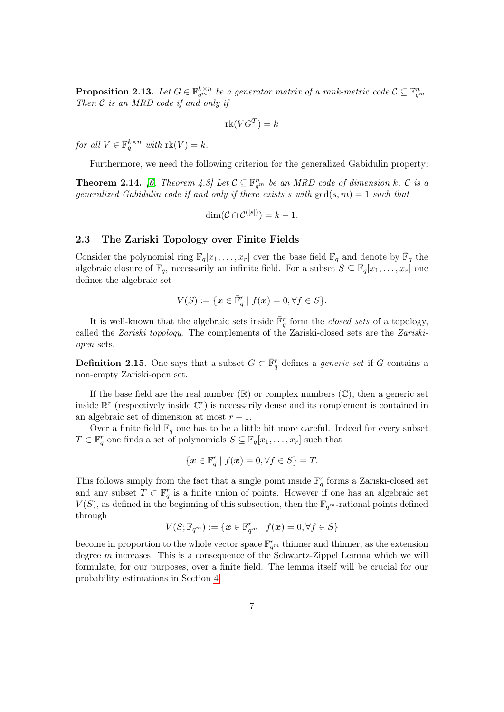<span id="page-6-0"></span>**Proposition 2.13.** Let  $G \in \mathbb{F}_{q^m}^{k \times n}$  be a generator matrix of a rank-metric code  $\mathcal{C} \subseteq \mathbb{F}_{q^m}^n$ . Then  $C$  is an MRD code if and only if

$$
\mathrm{rk}(VG^T) = k
$$

for all  $V \in \mathbb{F}_q^{k \times n}$  with  $\text{rk}(V) = k$ .

Furthermore, we need the following criterion for the generalized Gabidulin property:

<span id="page-6-1"></span>**Theorem 2.14.** [\[6,](#page-20-4) Theorem 4.8] Let  $C \subseteq \mathbb{F}_{q^m}^n$  be an MRD code of dimension k. C is a generalized Gabidulin code if and only if there exists s with  $gcd(s, m) = 1$  such that

$$
\dim(\mathcal{C} \cap \mathcal{C}^{([s])}) = k - 1.
$$

#### 2.3 The Zariski Topology over Finite Fields

Consider the polynomial ring  $\mathbb{F}_q[x_1,\ldots,x_r]$  over the base field  $\mathbb{F}_q$  and denote by  $\bar{\mathbb{F}}_q$  the algebraic closure of  $\mathbb{F}_q$ , necessarily an infinite field. For a subset  $S \subseteq \mathbb{F}_q[x_1, \ldots, x_r]$  one defines the algebraic set

$$
V(S) := \{ \boldsymbol{x} \in \bar{\mathbb{F}}_q^r \mid f(\boldsymbol{x}) = 0, \forall f \in S \}.
$$

It is well-known that the algebraic sets inside  $\overline{\mathbb{F}}_q^r$  form the *closed sets* of a topology, called the Zariski topology. The complements of the Zariski-closed sets are the Zariskiopen sets.

**Definition 2.15.** One says that a subset  $G \subset \overline{\mathbb{F}}_q^r$  defines a *generic set* if G contains a non-empty Zariski-open set.

If the base field are the real number  $(\mathbb{R})$  or complex numbers  $(\mathbb{C})$ , then a generic set inside  $\mathbb{R}^r$  (respectively inside  $\mathbb{C}^r$ ) is necessarily dense and its complement is contained in an algebraic set of dimension at most  $r - 1$ .

Over a finite field  $\mathbb{F}_q$  one has to be a little bit more careful. Indeed for every subset  $T \subset \mathbb{F}_q^r$  one finds a set of polynomials  $S \subseteq \mathbb{F}_q[x_1, \ldots, x_r]$  such that

$$
\{\boldsymbol{x}\in\mathbb{F}_q^r\mid f(\boldsymbol{x})=0,\forall f\in S\}=T.
$$

This follows simply from the fact that a single point inside  $\mathbb{F}_q^r$  forms a Zariski-closed set and any subset  $T \subset \mathbb{F}_q^r$  is a finite union of points. However if one has an algebraic set  $V(S)$ , as defined in the beginning of this subsection, then the  $\mathbb{F}_{q^m}$ -rational points defined through

$$
V(S; \mathbb{F}_{q^m}) := \{ \boldsymbol{x} \in \mathbb{F}_{q^m}^r \mid f(\boldsymbol{x}) = 0, \forall f \in S \}
$$

become in proportion to the whole vector space  $\mathbb{F}_{q^m}^r$  thinner and thinner, as the extension degree m increases. This is a consequence of the Schwartz-Zippel Lemma which we will formulate, for our purposes, over a finite field. The lemma itself will be crucial for our probability estimations in Section [4.](#page-9-0)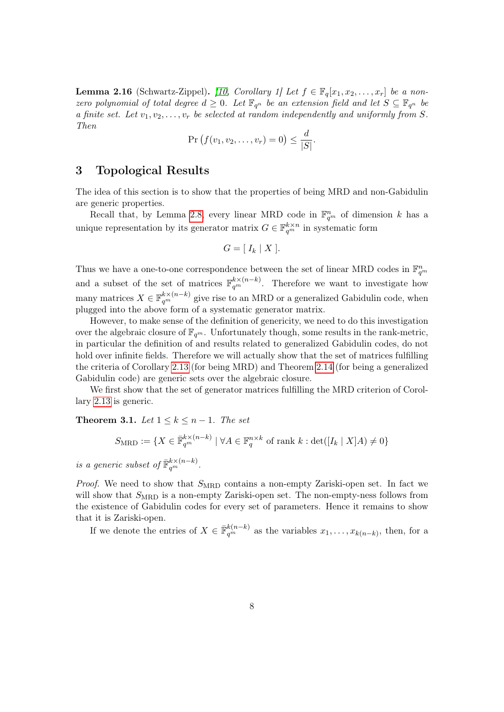<span id="page-7-2"></span>**Lemma 2.16** (Schwartz-Zippel). [\[10,](#page-21-5) Corollary 1] Let  $f \in \mathbb{F}_q[x_1, x_2, \ldots, x_r]$  be a nonzero polynomial of total degree  $d \geq 0$ . Let  $\mathbb{F}_{q^n}$  be an extension field and let  $S \subseteq \mathbb{F}_{q^n}$  be a finite set. Let  $v_1, v_2, \ldots, v_r$  be selected at random independently and uniformly from S. Then

$$
\Pr(f(v_1, v_2, \dots, v_r) = 0) \le \frac{d}{|S|}.
$$

## <span id="page-7-0"></span>3 Topological Results

The idea of this section is to show that the properties of being MRD and non-Gabidulin are generic properties.

Recall that, by Lemma [2.8,](#page-4-0) every linear MRD code in  $\mathbb{F}_{q^m}^n$  of dimension k has a unique representation by its generator matrix  $G \in \mathbb{F}_{q^m}^{k \times n}$  in systematic form

$$
G = [I_k \mid X].
$$

Thus we have a one-to-one correspondence between the set of linear MRD codes in  $\mathbb{F}_{q^m}^n$ and a subset of the set of matrices  $\mathbb{F}_{q^m}^{k\times(n-k)}$ . Therefore we want to investigate how many matrices  $X \in \mathbb{F}_{q^m}^{k \times (n-k)}$  give rise to an MRD or a generalized Gabidulin code, when plugged into the above form of a systematic generator matrix.

However, to make sense of the definition of genericity, we need to do this investigation over the algebraic closure of  $\mathbb{F}_{q^m}$ . Unfortunately though, some results in the rank-metric, in particular the definition of and results related to generalized Gabidulin codes, do not hold over infinite fields. Therefore we will actually show that the set of matrices fulfilling the criteria of Corollary [2.13](#page-6-0) (for being MRD) and Theorem [2.14](#page-6-1) (for being a generalized Gabidulin code) are generic sets over the algebraic closure.

We first show that the set of generator matrices fulfilling the MRD criterion of Corollary [2.13](#page-6-0) is generic.

<span id="page-7-1"></span>Theorem 3.1. Let  $1 \leq k \leq n-1$ . The set

$$
S_{\text{MRD}} := \{ X \in \mathbb{\bar{F}}_{q^m}^{k \times (n-k)} \mid \forall A \in \mathbb{F}_q^{n \times k} \text{ of rank } k : \det([I_k \mid X]A) \neq 0 \}
$$

is a generic subset of  $\bar{\mathbb{F}}_{q^m}^{k \times (n-k)}$ .

*Proof.* We need to show that  $S_{\text{MRD}}$  contains a non-empty Zariski-open set. In fact we will show that  $S_{\text{MRD}}$  is a non-empty Zariski-open set. The non-empty-ness follows from the existence of Gabidulin codes for every set of parameters. Hence it remains to show that it is Zariski-open.

If we denote the entries of  $X \in \mathbb{\bar{F}}_{q^m}^{k(n-k)}$  as the variables  $x_1, \ldots, x_{k(n-k)}$ , then, for a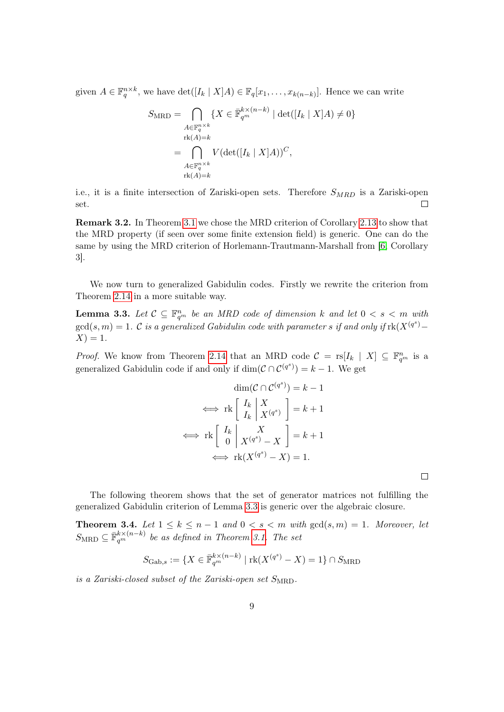given  $A \in \mathbb{F}_q^{n \times k}$ , we have  $\det([I_k \mid X]A) \in \mathbb{F}_q[x_1, \ldots, x_{k(n-k)}].$  Hence we can write

$$
S_{\text{MRD}} = \bigcap_{\substack{A \in \mathbb{F}_q^{n \times k} \\ \text{rk}(A) = k}} \{ X \in \bar{\mathbb{F}}_q^{k \times (n-k)} \mid \det([I_k \mid X]A) \neq 0 \}
$$

$$
= \bigcap_{\substack{A \in \mathbb{F}_q^{n \times k} \\ \text{rk}(A) = k}} V(\det([I_k \mid X]A))^C,
$$

i.e., it is a finite intersection of Zariski-open sets. Therefore  $S_{MRD}$  is a Zariski-open set.  $\Box$ 

Remark 3.2. In Theorem [3.1](#page-7-1) we chose the MRD criterion of Corollary [2.13](#page-6-0) to show that the MRD property (if seen over some finite extension field) is generic. One can do the same by using the MRD criterion of Horlemann-Trautmann-Marshall from [\[6,](#page-20-4) Corollary 3].

We now turn to generalized Gabidulin codes. Firstly we rewrite the criterion from Theorem [2.14](#page-6-1) in a more suitable way.

<span id="page-8-0"></span>**Lemma 3.3.** Let  $C \subseteq \mathbb{F}_{q^m}^n$  be an MRD code of dimension k and let  $0 < s < m$  with  $gcd(s, m) = 1$ . C is a generalized Gabidulin code with parameter s if and only if  $rk(X^{(q^s)} X$ ) = 1.

*Proof.* We know from Theorem [2.14](#page-6-1) that an MRD code  $C = \text{rs}[I_k | X] \subseteq \mathbb{F}_{q^m}^n$  is a generalized Gabidulin code if and only if  $\dim(\mathcal{C} \cap \mathcal{C}^{(q^s)}) = k - 1$ . We get

$$
\dim(\mathcal{C} \cap \mathcal{C}^{(q^s)}) = k - 1
$$

$$
\iff \text{rk}\left[\begin{array}{c} I_k \\ I_k \end{array}\middle| \begin{array}{c} X \\ X^{(q^s)} \end{array}\right] = k + 1
$$

$$
\iff \text{rk}\left[\begin{array}{c} I_k \\ 0 \end{array}\middle| \begin{array}{c} X \\ X^{(q^s)} - X \end{array}\right] = k + 1
$$

$$
\iff \text{rk}(X^{(q^s)} - X) = 1.
$$

 $\Box$ 

The following theorem shows that the set of generator matrices not fulfilling the generalized Gabidulin criterion of Lemma [3.3](#page-8-0) is generic over the algebraic closure.

<span id="page-8-1"></span>**Theorem 3.4.** Let  $1 \leq k \leq n-1$  and  $0 < s < m$  with  $gcd(s, m) = 1$ . Moreover, let  $S_{\text{MRD}} \subseteq \overline{\mathbb{F}}_q^{k \times (n-k)}$  be as defined in Theorem [3.1.](#page-7-1) The set

$$
S_{\mathrm{Gab},s} := \{ X \in \overline{\mathbb{F}}_{q^m}^{k \times (n-k)} \mid \mathrm{rk}(X^{(q^s)} - X) = 1 \} \cap S_{\mathrm{MRD}}
$$

is a Zariski-closed subset of the Zariski-open set  $S_{\text{MBD}}$ .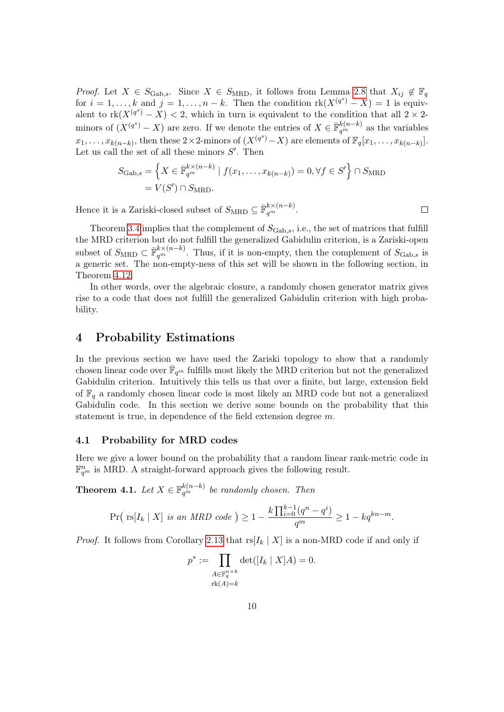*Proof.* Let  $X \in S_{\text{Gab},s}$ . Since  $X \in S_{\text{MRD}}$ , it follows from Lemma [2.8](#page-4-0) that  $X_{ij} \notin \mathbb{F}_q$ for  $i = 1, ..., k$  and  $j = 1, ..., n - k$ . Then the condition  $rk(X^{(q^s)} - X) = 1$  is equivalent to  $rk(X^{(q^s)}-X)<2$ , which in turn is equivalent to the condition that all  $2\times2$ minors of  $(X^{(q^s)} - X)$  are zero. If we denote the entries of  $X \in \mathbb{\bar{F}}_{q^m}^{k(n-k)}$  as the variables  $x_1, \ldots, x_{k(n-k)}$ , then these 2×2-minors of  $(X^{(q^s)}-X)$  are elements of  $\mathbb{F}_q[x_1, \ldots, x_{k(n-k)}].$ Let us call the set of all these minors  $S'$ . Then

$$
S_{\text{Gab},s} = \left\{ X \in \overline{\mathbb{F}}_{q^m}^{k \times (n-k)} \mid f(x_1, \dots, x_{k(n-k)}) = 0, \forall f \in S' \right\} \cap S_{\text{MRD}}
$$

$$
= V(S') \cap S_{\text{MRD}}.
$$

Hence it is a Zariski-closed subset of  $S_{\text{MRD}} \subseteq \overline{\mathbb{F}}_q^{k \times (n-k)}$ .

Theorem [3.4](#page-8-1) implies that the complement of  $S_{\text{Gab.s.}}$ , i.e., the set of matrices that fulfill the MRD criterion but do not fulfill the generalized Gabidulin criterion, is a Zariski-open subset of  $S_{\text{MRD}} \subset \bar{\mathbb{F}}_q^{k \times (n-k)}$ . Thus, if it is non-empty, then the complement of  $S_{\text{Gab,s}}$  is a generic set. The non-empty-ness of this set will be shown in the following section, in Theorem [4.12.](#page-0-0)

In other words, over the algebraic closure, a randomly chosen generator matrix gives rise to a code that does not fulfill the generalized Gabidulin criterion with high probability.

## <span id="page-9-0"></span>4 Probability Estimations

In the previous section we have used the Zariski topology to show that a randomly chosen linear code over  $\bar{\mathbb{F}}_{q^m}$  fulfills most likely the MRD criterion but not the generalized Gabidulin criterion. Intuitively this tells us that over a finite, but large, extension field of  $\mathbb{F}_q$  a randomly chosen linear code is most likely an MRD code but not a generalized Gabidulin code. In this section we derive some bounds on the probability that this statement is true, in dependence of the field extension degree m.

### 4.1 Probability for MRD codes

Here we give a lower bound on the probability that a random linear rank-metric code in  $\mathbb{F}_{q^m}^n$  is MRD. A straight-forward approach gives the following result.

<span id="page-9-1"></span>**Theorem 4.1.** Let  $X \in \mathbb{F}_{q^m}^{k(n-k)}$  be randomly chosen. Then

$$
\Pr\left(\text{rs}[I_k \mid X] \text{ is an } MRD \text{ code }\right) \ge 1 - \frac{k \prod_{i=0}^{k-1} (q^n - q^i)}{q^m} \ge 1 - kq^{kn-m}.
$$

*Proof.* It follows from Corollary [2.13](#page-6-0) that  $rs[I_k | X]$  is a non-MRD code if and only if

$$
p^* := \prod_{\substack{A \in \mathbb{F}_q^{n \times k} \\ \text{rk}(A) = k}} \det([I_k \mid X]A) = 0.
$$

 $\Box$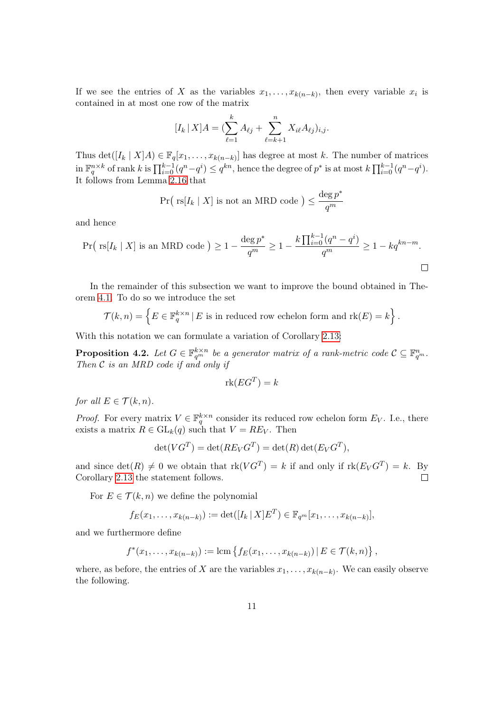If we see the entries of X as the variables  $x_1, \ldots, x_{k(n-k)}$ , then every variable  $x_i$  is contained in at most one row of the matrix

$$
[I_k \,|\, X]A = \left(\sum_{\ell=1}^k A_{\ell j} + \sum_{\ell=k+1}^n X_{i\ell} A_{\ell j}\right)_{i,j}.
$$

Thus det( $[I_k | X]A$ )  $\in \mathbb{F}_q[x_1,\ldots,x_{k(n-k)}]$  has degree at most k. The number of matrices  $\lim_{n \to \infty} \mathbb{F}_q^{n \times k}$  of rank k is  $\prod_{i=0}^{k-1} (q^n - q^i) \leq q^{kn}$ , hence the degree of  $p^*$  is at most  $k \prod_{i=0}^{k-1} (q^n - q^i)$ . It follows from Lemma [2.16](#page-7-2) that

$$
\Pr\big(\text{ rs}[I_k \mid X] \text{ is not an MRD code }\big) \leq \frac{\deg p^*}{q^m}
$$

and hence

$$
\Pr\left(\text{rs}[I_k \mid X] \text{ is an MRD code }\right) \ge 1 - \frac{\deg p^*}{q^m} \ge 1 - \frac{k \prod_{i=0}^{k-1} (q^n - q^i)}{q^m} \ge 1 - kq^{kn-m}.
$$

In the remainder of this subsection we want to improve the bound obtained in Theorem [4.1.](#page-9-1) To do so we introduce the set

$$
\mathcal{T}(k,n) = \left\{ E \in \mathbb{F}_q^{k \times n} \,|\, E \text{ is in reduced row echelon form and } \text{rk}(E) = k \right\}.
$$

With this notation we can formulate a variation of Corollary [2.13:](#page-6-0)

<span id="page-10-0"></span>**Proposition 4.2.** Let  $G \in \mathbb{F}_{q^m}^{k \times n}$  be a generator matrix of a rank-metric code  $\mathcal{C} \subseteq \mathbb{F}_{q^m}^n$ . Then  $C$  is an MRD code if and only if

$$
\mathrm{rk}(EG^T) = k
$$

for all  $E \in \mathcal{T}(k,n)$ .

*Proof.* For every matrix  $V \in \mathbb{F}_q^{k \times n}$  consider its reduced row echelon form  $E_V$ . I.e., there exists a matrix  $R \in GL_k(q)$  such that  $V = RE_V$ . Then

$$
\det(VG^T) = \det(RE_VG^T) = \det(R)\det(E_VG^T),
$$

and since  $\det(R) \neq 0$  we obtain that  $rk(VG^T) = k$  if and only if  $rk(E_V G^T) = k$ . By Corollary [2.13](#page-6-0) the statement follows.  $\Box$ 

For  $E \in \mathcal{T}(k, n)$  we define the polynomial

$$
f_E(x_1,...,x_{k(n-k)}) := \det([I_k | X]E^T) \in \mathbb{F}_{q^m}[x_1,...,x_{k(n-k)}],
$$

and we furthermore define

$$
f^*(x_1,...,x_{k(n-k)}) := \text{lcm}\left\{f_E(x_1,...,x_{k(n-k)})\,|\,E \in \mathcal{T}(k,n)\right\},\,
$$

where, as before, the entries of X are the variables  $x_1, \ldots, x_{k(n-k)}$ . We can easily observe the following.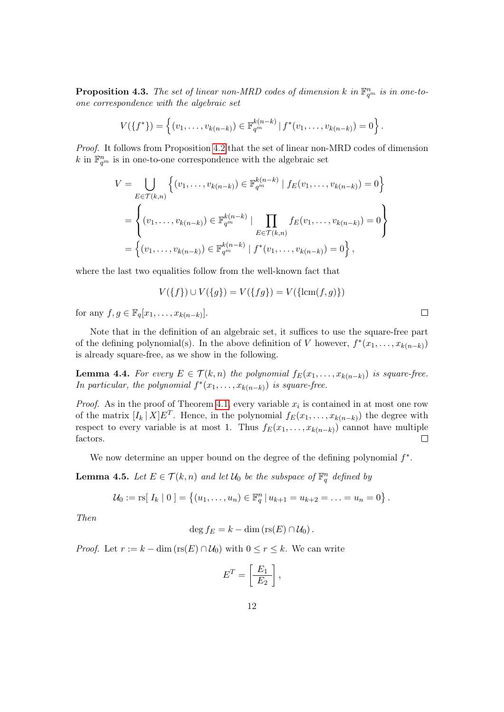**Proposition 4.3.** The set of linear non-MRD codes of dimension k in  $\mathbb{F}_{q^m}^n$  is in one-toone correspondence with the algebraic set

$$
V(\lbrace f^* \rbrace) = \left\{ (v_1, \ldots, v_{k(n-k)}) \in \mathbb{F}_{q^m}^{k(n-k)} \, | \, f^*(v_1, \ldots, v_{k(n-k)}) = 0 \right\}.
$$

Proof. It follows from Proposition [4.2](#page-10-0) that the set of linear non-MRD codes of dimension k in  $\mathbb{F}_{q^m}^n$  is in one-to-one correspondence with the algebraic set

$$
V = \bigcup_{E \in \mathcal{T}(k,n)} \left\{ (v_1, \dots, v_{k(n-k)}) \in \mathbb{F}_{q^m}^{k(n-k)} \mid f_E(v_1, \dots, v_{k(n-k)}) = 0 \right\}
$$
  
= 
$$
\left\{ (v_1, \dots, v_{k(n-k)}) \in \mathbb{F}_{q^m}^{k(n-k)} \mid \prod_{E \in \mathcal{T}(k,n)} f_E(v_1, \dots, v_{k(n-k)}) = 0 \right\}
$$
  
= 
$$
\left\{ (v_1, \dots, v_{k(n-k)}) \in \mathbb{F}_{q^m}^{k(n-k)} \mid f^*(v_1, \dots, v_{k(n-k)}) = 0 \right\},
$$

where the last two equalities follow from the well-known fact that

$$
V(\{f\}) \cup V(\{g\}) = V(\{fg\}) = V(\{\text{lcm}(f,g)\})
$$

for any  $f, g \in \mathbb{F}_q[x_1,\ldots,x_{k(n-k)}].$ 

Note that in the definition of an algebraic set, it suffices to use the square-free part of the defining polynomial(s). In the above definition of V however,  $f^*(x_1, \ldots, x_{k(n-k)})$ is already square-free, as we show in the following.

**Lemma 4.4.** For every  $E \in \mathcal{T}(k,n)$  the polynomial  $f_E(x_1,\ldots,x_{k(n-k)})$  is square-free. In particular, the polynomial  $f^*(x_1,\ldots,x_{k(n-k)})$  is square-free.

*Proof.* As in the proof of Theorem [4.1,](#page-9-1) every variable  $x_i$  is contained in at most one row of the matrix  $[I_k | X]E^T$ . Hence, in the polynomial  $f_E(x_1,\ldots,x_{k(n-k)})$  the degree with respect to every variable is at most 1. Thus  $f_E(x_1, \ldots, x_{k(n-k)})$  cannot have multiple factors.  $\Box$ 

We now determine an upper bound on the degree of the defining polynomial  $f^*$ .

<span id="page-11-0"></span>**Lemma 4.5.** Let  $E \in \mathcal{T}(k, n)$  and let  $\mathcal{U}_0$  be the subspace of  $\mathbb{F}_q^n$  defined by

$$
\mathcal{U}_0 := \text{rs}[\,I_k \mid 0\,] = \left\{ (u_1, \ldots, u_n) \in \mathbb{F}_q^n \,|\, u_{k+1} = u_{k+2} = \ldots = u_n = 0 \right\}.
$$

Then

$$
\deg f_E = k - \dim (\operatorname{rs}(E) \cap \mathcal{U}_0).
$$

*Proof.* Let  $r := k - \dim(\text{rs}(E) \cap \mathcal{U}_0)$  with  $0 \leq r \leq k$ . We can write

$$
E^T = \left[\frac{E_1}{E_2}\right],
$$

 $\Box$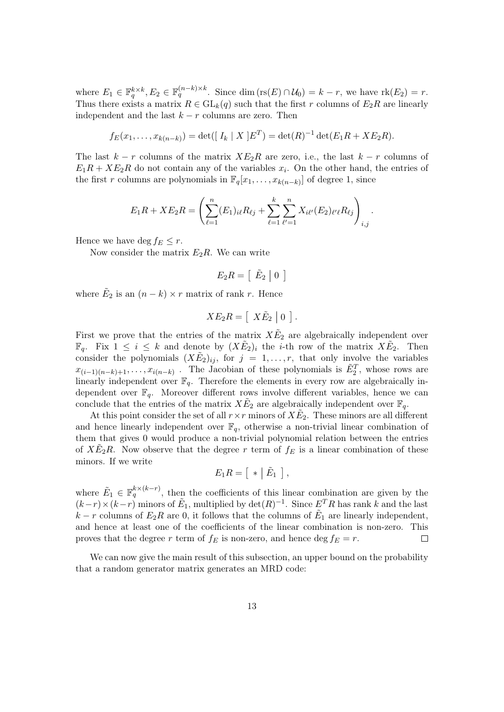where  $E_1 \in \mathbb{F}_q^{k \times k}, E_2 \in \mathbb{F}_q^{(n-k) \times k}$ . Since dim  $\left( \text{rs}(E) \cap \mathcal{U}_0 \right) = k - r$ , we have  $\text{rk}(E_2) = r$ . Thus there exists a matrix  $R \in GL_k(q)$  such that the first r columns of  $E_2R$  are linearly independent and the last  $k - r$  columns are zero. Then

$$
f_E(x_1,...,x_{k(n-k)}) = \det([I_k | X]E^T) = \det(R)^{-1} \det(E_1 R + X E_2 R).
$$

The last  $k - r$  columns of the matrix  $X_{12}R$  are zero, i.e., the last  $k - r$  columns of  $E_1R + XE_2R$  do not contain any of the variables  $x_i$ . On the other hand, the entries of the first r columns are polynomials in  $\mathbb{F}_q[x_1,\ldots,x_{k(n-k)}]$  of degree 1, since

$$
E_1R + XE_2R = \left(\sum_{\ell=1}^n (E_1)_{i\ell}R_{\ell j} + \sum_{\ell=1}^k \sum_{\ell'=1}^n X_{i\ell'}(E_2)_{\ell'\ell}R_{\ell j}\right)_{i,j}.
$$

Hence we have deg  $f_E \leq r$ .

Now consider the matrix  $E_2R$ . We can write

$$
E_2R = \left[\begin{array}{c|c} \tilde{E}_2 & 0 \end{array}\right]
$$

where  $\tilde{E}_2$  is an  $(n-k) \times r$  matrix of rank r. Hence

$$
XE_2R = [X\tilde{E}_2 | 0].
$$

First we prove that the entries of the matrix  $X\tilde{E}_2$  are algebraically independent over  $\mathbb{F}_q$ . Fix  $1 \leq i \leq k$  and denote by  $(X \tilde{E}_2)_i$  the *i*-th row of the matrix  $X \tilde{E}_2$ . Then consider the polynomials  $(X\tilde{E}_2)_{ij}$ , for  $j = 1, \ldots, r$ , that only involve the variables  $x_{(i-1)(n-k)+1}, \ldots, x_{i(n-k)}$ . The Jacobian of these polynomials is  $\tilde{E}_2^T$ , whose rows are linearly independent over  $\mathbb{F}_q$ . Therefore the elements in every row are algebraically independent over  $\mathbb{F}_q$ . Moreover different rows involve different variables, hence we can conclude that the entries of the matrix  $X \tilde{E}_2$  are algebraically independent over  $\mathbb{F}_q$ .

At this point consider the set of all  $r \times r$  minors of  $X \tilde{E}_2$ . These minors are all different and hence linearly independent over  $\mathbb{F}_q$ , otherwise a non-trivial linear combination of them that gives 0 would produce a non-trivial polynomial relation between the entries of  $X\tilde{E}_2R$ . Now observe that the degree r term of  $f_E$  is a linear combination of these minors. If we write

$$
E_1R = \left[ \begin{array}{c|c} * & \tilde{E}_1 \end{array} \right],
$$

where  $\tilde{E}_1 \in \mathbb{F}_q^{k \times (k-r)}$ , then the coefficients of this linear combination are given by the  $(k-r) \times (k-r)$  minors of  $\tilde{E}_1$ , multiplied by  $\det(R)^{-1}$ . Since  $E^T R$  has rank k and the last  $k - r$  columns of  $E_2R$  are 0, it follows that the columns of  $\tilde{E}_1$  are linearly independent, and hence at least one of the coefficients of the linear combination is non-zero. This proves that the degree r term of  $f_E$  is non-zero, and hence deg  $f_E = r$ .  $\Box$ 

We can now give the main result of this subsection, an upper bound on the probability that a random generator matrix generates an MRD code: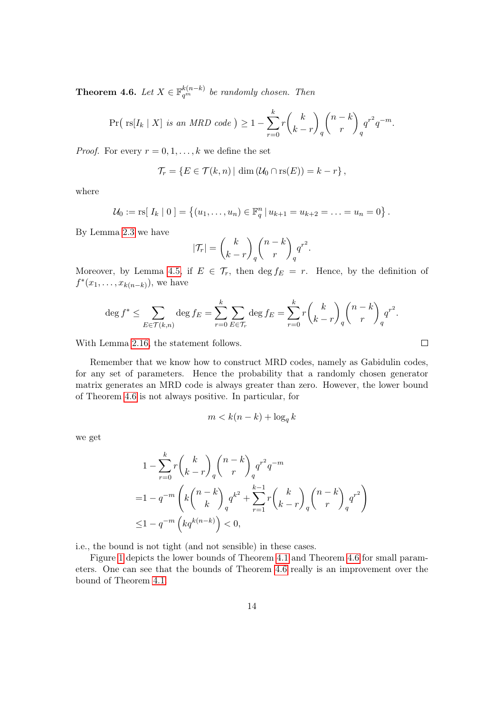<span id="page-13-0"></span>**Theorem 4.6.** Let  $X \in \mathbb{F}_{q^m}^{k(n-k)}$  be randomly chosen. Then

$$
\Pr\left(\text{rs}[I_k \mid X] \text{ is an MRD code }\right) \ge 1 - \sum_{r=0}^k r {k \choose k-r}_q {n-k \choose r}_q q^{r^2} q^{-m}.
$$

*Proof.* For every  $r = 0, 1, \ldots, k$  we define the set

$$
\mathcal{T}_r = \{ E \in \mathcal{T}(k,n) | \dim (\mathcal{U}_0 \cap \text{rs}(E)) = k - r \},\
$$

where

$$
\mathcal{U}_0 := \text{rs}[\, I_k \mid 0 \,] = \left\{ (u_1, \ldots, u_n) \in \mathbb{F}_q^n \,|\, u_{k+1} = u_{k+2} = \ldots = u_n = 0 \right\}.
$$

By Lemma [2.3](#page-3-0) we have

$$
|\mathcal{T}_r| = \binom{k}{k-r}_q \binom{n-k}{r}_q q^{r^2}.
$$

Moreover, by Lemma [4.5,](#page-11-0) if  $E \in \mathcal{T}_r$ , then  $\deg f_E = r$ . Hence, by the definition of  $f^*(x_1, ..., x_{k(n-k)})$ , we have

$$
\deg f^* \le \sum_{E \in \mathcal{T}(k,n)} \deg f_E = \sum_{r=0}^k \sum_{E \in \mathcal{T}_r} \deg f_E = \sum_{r=0}^k r \binom{k}{k-r}_q \binom{n-k}{r}_q q^{r^2}.
$$

With Lemma [2.16,](#page-7-2) the statement follows.

Remember that we know how to construct MRD codes, namely as Gabidulin codes, for any set of parameters. Hence the probability that a randomly chosen generator matrix generates an MRD code is always greater than zero. However, the lower bound of Theorem [4.6](#page-13-0) is not always positive. In particular, for

$$
m < k(n-k) + \log_q k
$$

we get

$$
1 - \sum_{r=0}^{k} r {k \choose k-r}_q {n-k \choose r}_q q^{r^2} q^{-m}
$$
  
=  $1 - q^{-m} \left( k {n-k \choose k}_q q^{k^2} + \sum_{r=1}^{k-1} r {k \choose k-r}_q {n-k \choose r}_q q^{r^2} \right)$   
 $\leq 1 - q^{-m} \left( k q^{k(n-k)} \right) < 0,$ 

i.e., the bound is not tight (and not sensible) in these cases.

Figure [1](#page-14-0) depicts the lower bounds of Theorem [4.1](#page-9-1) and Theorem [4.6](#page-13-0) for small parameters. One can see that the bounds of Theorem [4.6](#page-13-0) really is an improvement over the bound of Theorem [4.1.](#page-9-1)

 $\Box$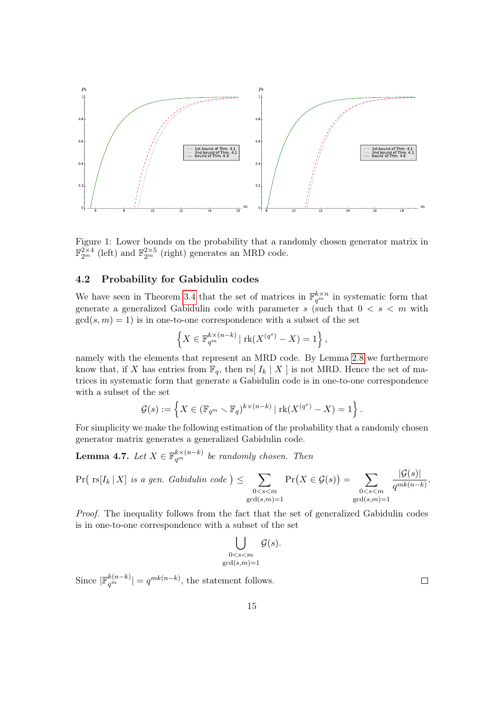

<span id="page-14-0"></span>Figure 1: Lower bounds on the probability that a randomly chosen generator matrix in  $\mathbb{F}_{2^m}^{2\times4}$  (left) and  $\mathbb{F}_{2^m}^{2\times5}$  (right) generates an MRD code.

#### 4.2 Probability for Gabidulin codes

We have seen in Theorem [3.4](#page-8-1) that the set of matrices in  $\mathbb{F}_{q^m}^{k \times n}$  in systematic form that generate a generalized Gabidulin code with parameter s (such that  $0 < s < m$  with  $gcd(s, m) = 1$  is in one-to-one correspondence with a subset of the set

$$
\left\{X \in \mathbb{F}_{q^m}^{k \times (n-k)} \mid \text{rk}(X^{(q^s)} - X) = 1\right\},\
$$

namely with the elements that represent an MRD code. By Lemma [2.8](#page-4-0) we furthermore know that, if X has entries from  $\mathbb{F}_q$ , then rs  $\left[ I_k \mid X \right]$  is not MRD. Hence the set of matrices in systematic form that generate a Gabidulin code is in one-to-one correspondence with a subset of the set

$$
\mathcal{G}(s) := \left\{ X \in (\mathbb{F}_{q^m} \setminus \mathbb{F}_q)^{k \times (n-k)} \mid \text{rk}(X^{(q^s)} - X) = 1 \right\}.
$$

For simplicity we make the following estimation of the probability that a randomly chosen generator matrix generates a generalized Gabidulin code.

<span id="page-14-1"></span>**Lemma 4.7.** Let  $X \in \mathbb{F}_{q^m}^{k \times (n-k)}$  be randomly chosen. Then

$$
\Pr\left(\text{rs}[I_k \mid X] \text{ is a gen. } \text{Gabidulin code}\right) \leq \sum_{\substack{0 < s < m \\ \gcd(s,m)=1}} \Pr\left(X \in \mathcal{G}(s)\right) = \sum_{\substack{0 < s < m \\ \gcd(s,m)=1}} \frac{|\mathcal{G}(s)|}{q^{mk(n-k)}}.
$$

Proof. The inequality follows from the fact that the set of generalized Gabidulin codes is in one-to-one correspondence with a subset of the set

$$
\bigcup_{\substack{0
$$

Since  $|\mathbb{F}_q^{k(n-k)}| = q^{mk(n-k)}$ , the statement follows.

 $\Box$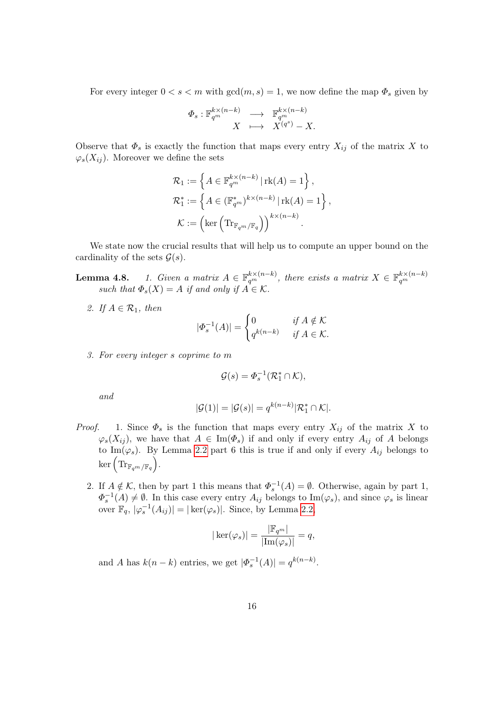For every integer  $0 < s < m$  with  $gcd(m, s) = 1$ , we now define the map  $\Phi_s$  given by

$$
\begin{array}{rcl}\n\varPhi_{s} : \mathbb{F}_{q^{m}}^{k \times (n-k)} & \longrightarrow & \mathbb{F}_{q^{m}}^{k \times (n-k)} \\
X & \longmapsto & X^{(q^{s})} - X.\n\end{array}
$$

Observe that  $\Phi_s$  is exactly the function that maps every entry  $X_{ij}$  of the matrix X to  $\varphi_s(X_{ij})$ . Moreover we define the sets

$$
\mathcal{R}_1 := \left\{ A \in \mathbb{F}_{q^m}^{k \times (n-k)} \, | \, \text{rk}(A) = 1 \right\},
$$
  

$$
\mathcal{R}_1^* := \left\{ A \in (\mathbb{F}_{q^m}^*)^{k \times (n-k)} \, | \, \text{rk}(A) = 1 \right\},
$$
  

$$
\mathcal{K} := \left( \text{ker} \left( \text{Tr}_{\mathbb{F}_{q^m}/\mathbb{F}_q} \right) \right)^{k \times (n-k)}.
$$

We state now the crucial results that will help us to compute an upper bound on the cardinality of the sets  $\mathcal{G}(s)$ .

**Lemma 4.8.** 1. Given a matrix  $A \in \mathbb{F}_{q^m}^{k \times (n-k)}$ , there exists a matrix  $X \in \mathbb{F}_{q^m}^{k \times (n-k)}$ such that  $\Phi_s(X) = A$  if and only if  $A \in \mathcal{K}$ .

2. If  $A \in \mathcal{R}_1$ , then

$$
|\Phi_s^{-1}(A)| = \begin{cases} 0 & \text{if } A \notin \mathcal{K} \\ q^{k(n-k)} & \text{if } A \in \mathcal{K}. \end{cases}
$$

3. For every integer s coprime to m

$$
\mathcal{G}(s) = \Phi_s^{-1}(\mathcal{R}_1^* \cap \mathcal{K}),
$$

and

$$
|\mathcal{G}(1)| = |\mathcal{G}(s)| = q^{k(n-k)} |\mathcal{R}_1^* \cap \mathcal{K}|.
$$

- *Proof.* 1. Since  $\Phi_s$  is the function that maps every entry  $X_{ij}$  of the matrix X to  $\varphi_s(X_{ij})$ , we have that  $A \in \text{Im}(\Phi_s)$  if and only if every entry  $A_{ij}$  of A belongs to Im( $\varphi_s$ ). By Lemma [2.2](#page-1-1) part 6 this is true if and only if every  $A_{ij}$  belongs to  $\ker\left({\rm Tr}_{\mathbb{F}_{q^m}/\mathbb{F}_q}\right)$  .
	- 2. If  $A \notin \mathcal{K}$ , then by part 1 this means that  $\Phi_s^{-1}(A) = \emptyset$ . Otherwise, again by part 1,  $\Phi_s^{-1}(A) \neq \emptyset$ . In this case every entry  $A_{ij}$  belongs to Im( $\varphi_s$ ), and since  $\varphi_s$  is linear over  $\mathbb{F}_q$ ,  $|\varphi_s^{-1}(A_{ij})| = |\ker(\varphi_s)|$ . Since, by Lemma [2.2,](#page-1-1)

$$
|\ker(\varphi_s)| = \frac{|\mathbb{F}_{q^m}|}{|\text{Im}(\varphi_s)|} = q,
$$

and A has  $k(n - k)$  entries, we get  $|\Phi_s^{-1}(A)| = q^{k(n-k)}$ .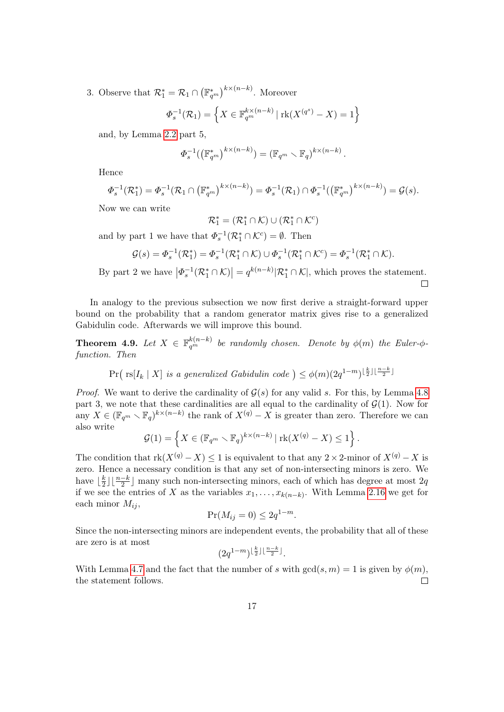3. Observe that  $\mathcal{R}_1^* = \mathcal{R}_1 \cap (\mathbb{F}_{q^m}^*)^{k \times (n-k)}$ . Moreover

$$
\Phi_s^{-1}(\mathcal{R}_1) = \left\{ X \in \mathbb{F}_{q^m}^{k \times (n-k)} \mid \text{rk}(X^{(q^s)} - X) = 1 \right\}
$$

and, by Lemma [2.2](#page-1-1) part 5,

$$
\Phi_s^{-1}(\left(\mathbb{F}_{q^m}^*\right)^{k \times (n-k)}) = \left(\mathbb{F}_{q^m} \setminus \mathbb{F}_q\right)^{k \times (n-k)}.
$$

Hence

$$
\Phi_s^{-1}(\mathcal{R}_1^*) = \Phi_s^{-1}(\mathcal{R}_1 \cap (\mathbb{F}_{q^m}^*)^{k \times (n-k)}) = \Phi_s^{-1}(\mathcal{R}_1) \cap \Phi_s^{-1}((\mathbb{F}_{q^m}^*)^{k \times (n-k)}) = \mathcal{G}(s).
$$

Now we can write

$$
\mathcal{R}_1^* = (\mathcal{R}_1^* \cap \mathcal{K}) \cup (\mathcal{R}_1^* \cap \mathcal{K}^c)
$$

and by part 1 we have that  $\Phi_s^{-1}(\mathcal{R}_1^* \cap \mathcal{K}^c) = \emptyset$ . Then

$$
\mathcal{G}(s) = \Phi_s^{-1}(\mathcal{R}_1^*) = \Phi_s^{-1}(\mathcal{R}_1^* \cap \mathcal{K}) \cup \Phi_s^{-1}(\mathcal{R}_1^* \cap \mathcal{K}^c) = \Phi_s^{-1}(\mathcal{R}_1^* \cap \mathcal{K}).
$$

By part 2 we have  $\left|\Phi_s^{-1}(\mathcal{R}_1^*\cap\mathcal{K})\right|=q^{k(n-k)}|\mathcal{R}_1^*\cap\mathcal{K}|$ , which proves the statement.

In analogy to the previous subsection we now first derive a straight-forward upper bound on the probability that a random generator matrix gives rise to a generalized Gabidulin code. Afterwards we will improve this bound.

**Theorem 4.9.** Let  $X \in \mathbb{F}_{q^m}^{k(n-k)}$  be randomly chosen. Denote by  $\phi(m)$  the Euler- $\phi$ function. Then

 $Pr(\text{ rs}[I_k | X] \text{ is a generalized Gabidulin code }) \leq \phi(m)(2q^{1-m})^{\lfloor \frac{k}{2} \rfloor \lfloor \frac{n-k}{2} \rfloor}$ 

*Proof.* We want to derive the cardinality of  $\mathcal{G}(s)$  for any valid s. For this, by Lemma [4.8](#page-0-0) part 3, we note that these cardinalities are all equal to the cardinality of  $\mathcal{G}(1)$ . Now for any  $X \in (\mathbb{F}_{q^m} \setminus \mathbb{F}_q)^{k \times (n-k)}$  the rank of  $X^{(q)} - X$  is greater than zero. Therefore we can also write

$$
\mathcal{G}(1) = \left\{ X \in (\mathbb{F}_{q^m} \setminus \mathbb{F}_q)^{k \times (n-k)} | \operatorname{rk}(X^{(q)} - X) \le 1 \right\}.
$$

The condition that  $rk(X^{(q)} - X) \leq 1$  is equivalent to that any 2 × 2-minor of  $X^{(q)} - X$  is zero. Hence a necessary condition is that any set of non-intersecting minors is zero. We have  $\frac{k}{2}$  $\frac{k}{2}$ ]  $\lfloor \frac{n-k}{2} \rfloor$  many such non-intersecting minors, each of which has degree at most 2q. if we see the entries of X as the variables  $x_1, \ldots, x_{k(n-k)}$ . With Lemma [2.16](#page-7-2) we get for each minor  $M_{ij}$ ,

$$
\Pr(M_{ij} = 0) \le 2q^{1-m}.
$$

Since the non-intersecting minors are independent events, the probability that all of these are zero is at most

$$
(2q^{1-m})^{\lfloor\frac{k}{2}\rfloor\lfloor\frac{n-k}{2}\rfloor}.
$$

With Lemma [4.7](#page-14-1) and the fact that the number of s with  $gcd(s, m) = 1$  is given by  $\phi(m)$ , the statement follows.  $\Box$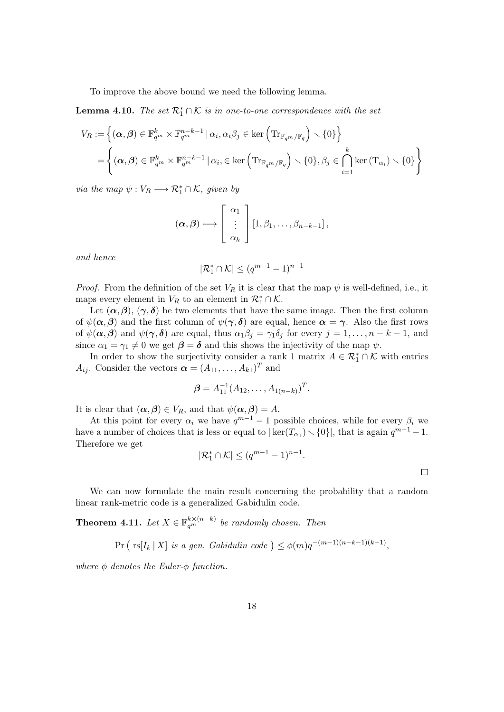To improve the above bound we need the following lemma.

<span id="page-17-0"></span>**Lemma 4.10.** The set  $\mathcal{R}_1^* \cap \mathcal{K}$  is in one-to-one correspondence with the set

$$
V_R := \left\{ (\boldsymbol{\alpha}, \boldsymbol{\beta}) \in \mathbb{F}_{q^m}^k \times \mathbb{F}_{q^m}^{n-k-1} \mid \alpha_i, \alpha_i \beta_j \in \ker \left( \text{Tr}_{\mathbb{F}_{q^m}/\mathbb{F}_q} \right) \setminus \{0\} \right\}
$$
  
= 
$$
\left\{ (\boldsymbol{\alpha}, \boldsymbol{\beta}) \in \mathbb{F}_{q^m}^k \times \mathbb{F}_{q^m}^{n-k-1} \mid \alpha_i, \in \ker \left( \text{Tr}_{\mathbb{F}_{q^m}/\mathbb{F}_q} \right) \setminus \{0\}, \beta_j \in \bigcap_{i=1}^k \ker \left( \text{T}_{\alpha_i} \right) \setminus \{0\} \right\}
$$

via the map  $\psi: V_R \longrightarrow \mathcal{R}_1^* \cap \mathcal{K}$ , given by

$$
(\boldsymbol{\alpha},\boldsymbol{\beta}) \longmapsto \left[\begin{array}{c} \alpha_1 \\ \vdots \\ \alpha_k \end{array}\right] [1,\beta_1,\ldots,\beta_{n-k-1}],
$$

and hence

$$
|\mathcal{R}_1^* \cap \mathcal{K}| \leq (q^{m-1}-1)^{n-1}
$$

*Proof.* From the definition of the set  $V_R$  it is clear that the map  $\psi$  is well-defined, i.e., it maps every element in  $V_R$  to an element in  $\mathcal{R}_1^* \cap \mathcal{K}$ .

Let  $(\alpha, \beta), (\gamma, \delta)$  be two elements that have the same image. Then the first column of  $\psi(\alpha, \beta)$  and the first column of  $\psi(\gamma, \delta)$  are equal, hence  $\alpha = \gamma$ . Also the first rows of  $\psi(\alpha, \beta)$  and  $\psi(\gamma, \delta)$  are equal, thus  $\alpha_1 \beta_j = \gamma_1 \delta_j$  for every  $j = 1, \ldots, n - k - 1$ , and since  $\alpha_1 = \gamma_1 \neq 0$  we get  $\beta = \delta$  and this shows the injectivity of the map  $\psi$ .

In order to show the surjectivity consider a rank 1 matrix  $A \in \mathcal{R}_1^* \cap \mathcal{K}$  with entries  $A_{ij}$ . Consider the vectors  $\boldsymbol{\alpha} = (A_{11}, \ldots, A_{k1})^T$  and

$$
\boldsymbol{\beta} = A_{11}^{-1}(A_{12}, \dots, A_{1(n-k)})^T.
$$

It is clear that  $(\alpha, \beta) \in V_R$ , and that  $\psi(\alpha, \beta) = A$ .

At this point for every  $\alpha_i$  we have  $q^{m-1}-1$  possible choices, while for every  $\beta_i$  we have a number of choices that is less or equal to  $|\ker(T_{\alpha_1}) \setminus \{0\}|$ , that is again  $q^{m-1} - 1$ . Therefore we get

$$
|\mathcal{R}_1^* \cap \mathcal{K}| \le (q^{m-1} - 1)^{n-1}.
$$

 $\Box$ 

We can now formulate the main result concerning the probability that a random linear rank-metric code is a generalized Gabidulin code.

<span id="page-17-1"></span>**Theorem 4.11.** Let  $X \in \mathbb{F}_{q^m}^{k \times (n-k)}$  be randomly chosen. Then

$$
\Pr\left(\text{rs}[I_k \mid X] \text{ is a gen. } \text{Gabidulin code }\right) \le \phi(m)q^{-(m-1)(n-k-1)(k-1)},
$$

where  $\phi$  denotes the Euler- $\phi$  function.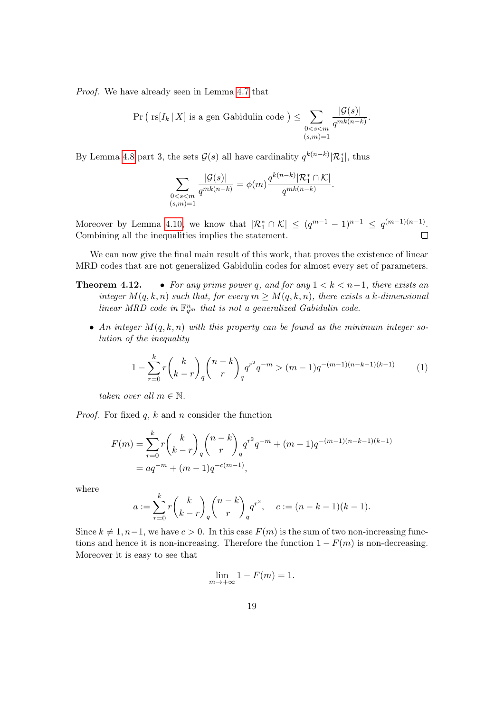Proof. We have already seen in Lemma [4.7](#page-14-1) that

$$
\Pr\left(\text{rs}[I_k \mid X]\text{ is a gen Gabilulin code }\right) \leq \sum_{\substack{0 < s < m \\ (s,m)=1}} \frac{|G(s)|}{q^{mk(n-k)}}.
$$

By Lemma [4.8](#page-0-0) part 3, the sets  $\mathcal{G}(s)$  all have cardinality  $q^{k(n-k)}|\mathcal{R}_1^*|$ , thus

$$
\sum_{\substack{0 < s < m \\ (s,m)=1}} \frac{|\mathcal{G}(s)|}{q^{mk(n-k)}} = \phi(m) \frac{q^{k(n-k)} |\mathcal{R}_1^* \cap \mathcal{K}|}{q^{mk(n-k)}}.
$$

Moreover by Lemma [4.10,](#page-17-0) we know that  $|\mathcal{R}_1^* \cap \mathcal{K}| \leq (q^{m-1} - 1)^{n-1} \leq q^{(m-1)(n-1)}$ . Combining all the inequalities implies the statement.  $\Box$ 

We can now give the final main result of this work, that proves the existence of linear MRD codes that are not generalized Gabidulin codes for almost every set of parameters.

- **Theorem 4.12.** For any prime power q, and for any  $1 < k < n-1$ , there exists an integer  $M(q, k, n)$  such that, for every  $m \geq M(q, k, n)$ , there exists a k-dimensional linear MRD code in  $\mathbb{F}_{q^m}^n$  that is not a generalized Gabidulin code.
	- An integer  $M(q, k, n)$  with this property can be found as the minimum integer solution of the inequality

<span id="page-18-0"></span>
$$
1 - \sum_{r=0}^{k} r \binom{k}{k-r}_q \binom{n-k}{r}_q q^{r^2} q^{-m} > (m-1)q^{-(m-1)(n-k-1)(k-1)} \tag{1}
$$

taken over all  $m \in \mathbb{N}$ .

*Proof.* For fixed  $q, k$  and  $n$  consider the function

$$
F(m) = \sum_{r=0}^{k} r {k \choose k-r}_q {n-k \choose r}_q q^{r^2} q^{-m} + (m-1)q^{-(m-1)(n-k-1)(k-1)}
$$
  
=  $aq^{-m} + (m-1)q^{-c(m-1)},$ 

where

$$
a := \sum_{r=0}^{k} r {k \choose k-r}_q {n-k \choose r}_q q^{r^2}, \quad c := (n-k-1)(k-1).
$$

Since  $k \neq 1, n-1$ , we have  $c > 0$ . In this case  $F(m)$  is the sum of two non-increasing functions and hence it is non-increasing. Therefore the function  $1 - F(m)$  is non-decreasing. Moreover it is easy to see that

$$
\lim_{m \to +\infty} 1 - F(m) = 1.
$$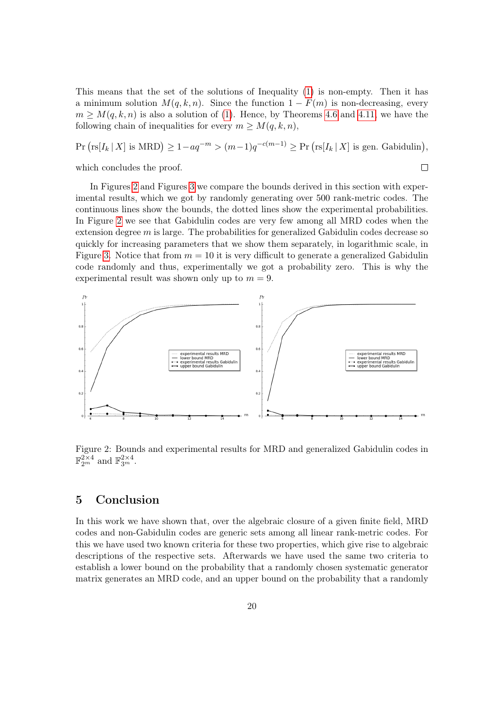This means that the set of the solutions of Inequality [\(1\)](#page-18-0) is non-empty. Then it has a minimum solution  $M(q, k, n)$ . Since the function  $1 - F(m)$  is non-decreasing, every  $m \geq M(q, k, n)$  is also a solution of [\(1\)](#page-18-0). Hence, by Theorems [4.6](#page-13-0) and [4.11,](#page-17-1) we have the following chain of inequalities for every  $m \geq M(q, k, n)$ ,

 $Pr\left(rsl_I[X] \text{ is MRD}\right) \geq 1-aq^{-m} > (m-1)q^{-c(m-1)} \geq Pr\left(rsl_I[X] \text{ is gen.} \text{ Gabidulin}\right),$ which concludes the proof.  $\Box$ 

In Figures [2](#page-19-1) and Figures [3](#page-20-6) we compare the bounds derived in this section with experimental results, which we got by randomly generating over 500 rank-metric codes. The continuous lines show the bounds, the dotted lines show the experimental probabilities. In Figure [2](#page-19-1) we see that Gabidulin codes are very few among all MRD codes when the extension degree  $m$  is large. The probabilities for generalized Gabidulin codes decrease so quickly for increasing parameters that we show them separately, in logarithmic scale, in Figure [3.](#page-20-6) Notice that from  $m = 10$  it is very difficult to generate a generalized Gabidulin code randomly and thus, experimentally we got a probability zero. This is why the experimental result was shown only up to  $m = 9$ .



<span id="page-19-1"></span>Figure 2: Bounds and experimental results for MRD and generalized Gabidulin codes in  $\mathbb{F}_{2^m}^{2\times 4}$  and  $\mathbb{F}_{3^m}^{2\times 4}$ .

## <span id="page-19-0"></span>5 Conclusion

In this work we have shown that, over the algebraic closure of a given finite field, MRD codes and non-Gabidulin codes are generic sets among all linear rank-metric codes. For this we have used two known criteria for these two properties, which give rise to algebraic descriptions of the respective sets. Afterwards we have used the same two criteria to establish a lower bound on the probability that a randomly chosen systematic generator matrix generates an MRD code, and an upper bound on the probability that a randomly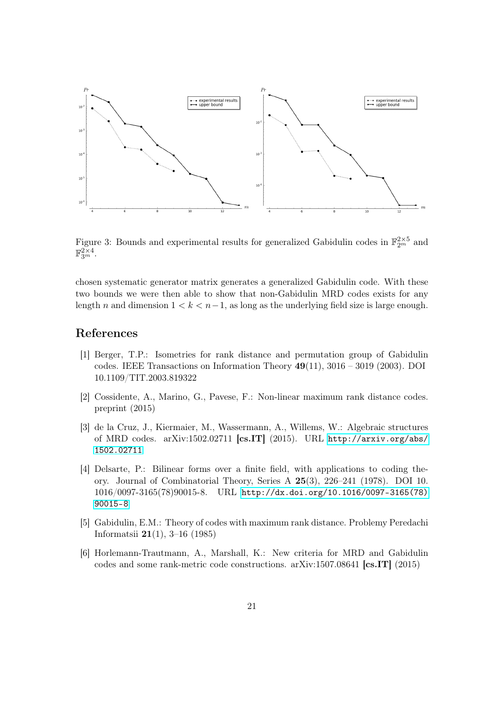

<span id="page-20-6"></span>Figure 3: Bounds and experimental results for generalized Gabidulin codes in  $\mathbb{F}_{2^m}^{2\times 5}$  and  $\mathbb{F}_{3^m}^{2\times 4}$ .

chosen systematic generator matrix generates a generalized Gabidulin code. With these two bounds we were then able to show that non-Gabidulin MRD codes exists for any length n and dimension  $1 < k < n-1$ , as long as the underlying field size is large enough.

## References

- <span id="page-20-5"></span>[1] Berger, T.P.: Isometries for rank distance and permutation group of Gabidulin codes. IEEE Transactions on Information Theory  $49(11)$ ,  $3016 - 3019$  (2003). DOI 10.1109/TIT.2003.819322
- <span id="page-20-2"></span>[2] Cossidente, A., Marino, G., Pavese, F.: Non-linear maximum rank distance codes. preprint (2015)
- <span id="page-20-3"></span>[3] de la Cruz, J., Kiermaier, M., Wassermann, A., Willems, W.: Algebraic structures of MRD codes. arXiv:1502.02711 [cs.IT] (2015). URL [http://arxiv.org/abs/](http://arxiv.org/abs/1502.02711) [1502.02711](http://arxiv.org/abs/1502.02711)
- <span id="page-20-0"></span>[4] Delsarte, P.: Bilinear forms over a finite field, with applications to coding theory. Journal of Combinatorial Theory, Series A 25(3), 226–241 (1978). DOI 10. 1016/0097-3165(78)90015-8. URL [http://dx.doi.org/10.1016/0097-3165\(78\)](http://dx.doi.org/10.1016/0097-3165(78)90015-8) [90015-8](http://dx.doi.org/10.1016/0097-3165(78)90015-8)
- <span id="page-20-1"></span>[5] Gabidulin, E.M.: Theory of codes with maximum rank distance. Problemy Peredachi Informatsii 21(1), 3–16 (1985)
- <span id="page-20-4"></span>[6] Horlemann-Trautmann, A., Marshall, K.: New criteria for MRD and Gabidulin codes and some rank-metric code constructions. arXiv:1507.08641 [cs.IT] (2015)